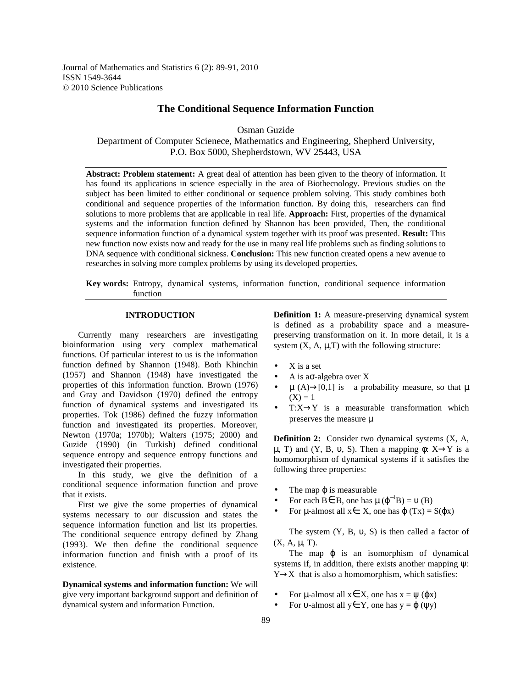Journal of Mathematics and Statistics 6 (2): 89-91, 2010 ISSN 1549-3644 © 2010 Science Publications

## **The Conditional Sequence Information Function**

Osman Guzide

Department of Computer Scienece, Mathematics and Engineering, Shepherd University, P.O. Box 5000, Shepherdstown, WV 25443, USA

**Abstract: Problem statement:** A great deal of attention has been given to the theory of information. It has found its applications in science especially in the area of Biothecnology. Previous studies on the subject has been limited to either conditional or sequence problem solving. This study combines both conditional and sequence properties of the information function. By doing this, researchers can find solutions to more problems that are applicable in real life. **Approach:** First, properties of the dynamical systems and the information function defined by Shannon has been provided, Then, the conditional sequence information function of a dynamical system together with its proof was presented. **Result:** This new function now exists now and ready for the use in many real life problems such as finding solutions to DNA sequence with conditional sickness. **Conclusion:** This new function created opens a new avenue to researches in solving more complex problems by using its developed properties.

**Key words:** Entropy, dynamical systems, information function, conditional sequence information function

# **INTRODUCTION**

 Currently many researchers are investigating bioinformation using very complex mathematical functions. Of particular interest to us is the information function defined by Shannon (1948). Both Khinchin (1957) and Shannon (1948) have investigated the properties of this information function. Brown (1976) and Gray and Davidson (1970) defined the entropy function of dynamical systems and investigated its properties. Tok (1986) defined the fuzzy information function and investigated its properties. Moreover, Newton (1970a; 1970b); Walters (1975; 2000) and Guzide (1990) (in Turkish) defined conditional sequence entropy and sequence entropy functions and investigated their properties.

 In this study, we give the definition of a conditional sequence information function and prove that it exists.

 First we give the some properties of dynamical systems necessary to our discussion and states the sequence information function and list its properties. The conditional sequence entropy defined by Zhang (1993). We then define the conditional sequence information function and finish with a proof of its existence.

**Dynamical systems and information function:** We will give very important background support and definition of dynamical system and information Function.

**Definition 1:** A measure-preserving dynamical system is defined as a probability space and a measurepreserving transformation on it. In more detail, it is a system  $(X, A, \mu, T)$  with the following structure:

- $X$  is a set
- A is a $\sigma$ -algebra over X
- $\mu$  (A)  $\rightarrow$  [0,1] is a probability measure, so that  $\mu$  $(X) = 1$
- $T:X\rightarrow Y$  is a measurable transformation which preserves the measure  $\mu$

**Definition 2:** Consider two dynamical systems (X, A,  $\mu$ , T) and (Y, B, v, S). Then a mapping  $\phi$ : X $\rightarrow$ Y is a homomorphism of dynamical systems if it satisfies the following three properties:

- The map  $\varphi$  is measurable
- For each  $B \in B$ , one has  $\mu(\varphi^{-1}B) = \nu(B)$
- For  $\mu$ -almost all  $x \in X$ , one has  $\varphi(Tx) = S(\varphi x)$

The system  $(Y, B, \nu, S)$  is then called a factor of  $(X, A, \mu, T)$ .

The map  $\varphi$  is an isomorphism of dynamical systems if, in addition, there exists another mapping ψ:  $Y \rightarrow X$  that is also a homomorphism, which satisfies:

- For  $\mu$ -almost all  $x \in X$ , one has  $x = \psi(\varphi x)$
- For v-almost all  $y \in Y$ , one has  $y = \varphi(yy)$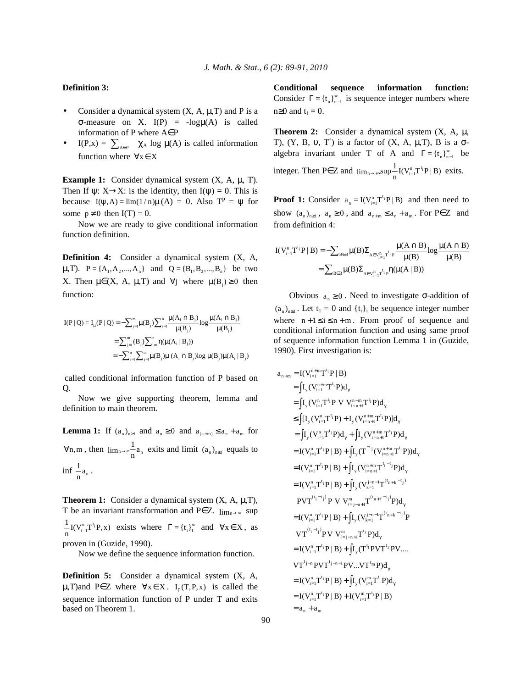### **Definition 3:**

- Consider a dynamical system  $(X, A, \mu, T)$  and P is a σ-measure on X. I(P) = -logµ(A) is called information of P where A∈P
- I(P,x) =  $\sum_{A \in P} \chi_A \log \mu(A)$  is called information function where  $\forall x \in X$

**Example 1:** Consider dynamical system (X, A, µ, T). Then If  $\psi: X \rightarrow X$ : is the identity, then  $I(\psi) = 0$ . This is because  $I(\psi, A) = \lim(1/n)\mu(A) = 0$ . Also  $T^p = \psi$  for some  $p \neq 0$  then  $I(T) = 0$ .

 Now we are ready to give conditional information function definition.

**Definition 4:** Consider a dynamical system (X, A,  $\mu$ ,T). P = {A<sub>1</sub>, A<sub>2</sub>,...,A<sub>n</sub>} and Q = {B<sub>1</sub>, B<sub>2</sub>,...,B<sub>n</sub>} be two X. Then  $\mu \in (X, A, \mu, T)$  and  $\forall j$  where  $\mu(B_i) \ge 0$  then function:

$$
I(P | Q) = I_{\mu}(P | Q) = -\sum_{j=1}^{m} \mu(B_{j}) \sum_{i=1}^{n} \frac{\mu(A_{i} \cap B_{j})}{\mu(B_{j})} \log \frac{\mu(A_{i} \cap B_{j})}{\mu(B_{j})}
$$
  
= 
$$
\sum_{j=1}^{m} (B_{j}) \sum_{i=1}^{n} \eta(\mu(A_{i} | B_{j}))
$$
  
= 
$$
-\sum_{i=1}^{n} \sum_{j=1}^{m} \mu(B_{j}) \mu(A_{i} \cap B_{j}) \log \mu(B_{j}) \mu(A_{i} | B_{j})
$$

 called conditional information function of P based on Q.

 Now we give supporting theorem, lemma and definition to main theorem.

**Lemma 1:** If  $(a_n)_{n\geq 1}$  and  $a_n \geq 0$  and  $a_{(a+m)} \leq a_n + a_m$  for  $\forall n,m$ , then  $\lim_{n\to\infty} \frac{1}{n} a_n$  exits and limit  $(a_n)_{n\geq 1}$  equals to inf  $\frac{1}{n}a_n$ .

**Theorem 1:** Consider a dynamical system  $(X, A, \mu, T)$ , T be an invariant transformation and P∈Z.  $lim_{n\rightarrow\infty}$  sup  $\frac{1}{n} I(V_{i=1}^n T^{t_i} P, x)$  exists where  $\Gamma = \{t_i\}_{i=1}^{\infty}$  and  $\forall x \in X$ , as proven in (Guzide, 1990).

Now we define the sequence information function.

**Definition 5:** Consider a dynamical system (X, A,  $\mu$ ,T)and P∈Z where  $\forall x \in X$ . I<sub>r</sub>(T,P,x) is called the sequence information function of P under T and exits based on Theorem 1.

**Conditional sequence information function:**  Consider  $\Gamma = \{t_n\}_{n=1}^{\infty}$  is sequence integer numbers where  $n\geq 0$  and  $t_1 = 0$ .

**Theorem 2:** Consider a dynamical system (X, A, µ, T),  $(Y, B, \nu, T')$  is a factor of  $(X, A, \mu, T)$ , B is a  $\sigma$ algebra invariant under T of A and  $\Gamma = {\{\mathsf{t}_{\mathsf{n}}\}}_{\mathsf{n}-1}^{\infty}$  be integer. Then P∈ Z and  $\lim_{n \to +\infty} \sup_{n=1}^{\infty} I(V_{i=1}^{n}T^{t_i}P | B)$  exits.

**Proof 1:** Consider  $a_n = I(V_{i=1}^n T^{t_i} P | B)$  and then need to show  $(a_n)_{n\geq 1}$ ,  $a_n \geq 0$ , and  $a_{n+m} \leq a_n + a_m$ . For P $\in \mathbb{Z}$  and from definition 4:

$$
I(V_{i=1}^{n}T^{t_{i}}P | B) = -\sum_{B \in B} \mu(B) \sum_{A \in V_{i=1}^{n}T^{t_{i}}P} \frac{\mu(A \cap B)}{\mu(B)} log \frac{\mu(A \cap B)}{\mu(B)}
$$

$$
= \sum_{B \in B} \mu(B) \sum_{A \in V_{i=1}^{n}T^{t_{i}}P} \eta(\mu(A | B))
$$

Obvious  $a_n \geq 0$ . Need to investigate σ-addition of  $(a_n)_{n\geq 1}$ . Let  $t_1 = 0$  and  $\{t_i\}_i$  be sequence integer number where  $n+1 \le i \le n+m$ . From proof of sequence and conditional information function and using same proof of sequence information function Lemma 1 in (Guzide, 1990). First investigation is:

$$
a_{n+m} = I(V_{i-1}^{n+m}T^{t_i}P|B)
$$
  
\n
$$
= \int I_y(V_{i-1}^{n+m}T^{t_i}P)d_{\gamma}
$$
  
\n
$$
= \int I_y(V_{i-1}^{n}T^{t_i}P V V_{i-n+1}^{n+m}T^{t_i}P)d_{\gamma}
$$
  
\n
$$
\leq \int [I_y(V_{i-1}^{n}T^{t_i}P) + I_y(V_{i-n+1}^{n+m}T^{t_i}P)d_{\gamma}
$$
  
\n
$$
= \int I_y(V_{i-1}^{n}T^{t_i}P)d_{\gamma} + \int I_y(V_{i-n+1}^{n+m}T^{t_i}P)d_{\gamma}
$$
  
\n
$$
= I(V_{i-1}^{n}T^{t_i}P|B) + \int I_y(T^{-t_j}(V_{i-n+1}^{n+m}T^{t_i}P))d_{\gamma}
$$
  
\n
$$
= I(V_{i-1}^{n}T^{t_i}P|B) + \int I_y(V_{i-1}^{n+m}T^{t_{i-1}}P)d_{\gamma}
$$
  
\n
$$
= I(V_{i-1}^{n}T^{t_i}P|B) + \int I_y(V_{k-1}^{n+m}T^{t_{k-1}}P)d_{\gamma}
$$
  
\n
$$
= I(V_{i-1}^{n}T^{t_i}P|B) + \int I_y(V_{k-1}^{n+m}T^{t_{k-1}}P)d_{\gamma}
$$
  
\n
$$
= I(V_{i-1}^{n}T^{t_i}P|B) + \int I_y(V_{k-1}^{n+m-1}T^{t_{k+1}-t_j}P)d_{\gamma}
$$
  
\n
$$
= I(V_{i-1}^{n}T^{t_i}P|B) + \int I_y(T^{t_i}PVT^{t_2}PV....
$$
  
\n
$$
VT^{t_{i-1}}P'YYV_{i-n+1}^{n+m}T^{t_i}P)d_{\gamma}
$$
  
\n
$$
= I(V_{i-1}^{n}T^{t_i}P|B) + \int I_y(T^{t_i}PVT^{t_2}PV....
$$
  
\n
$$
VT^{t_{i-1}}P'YYY_{i-1}^{n+m}T^{t_i}P)d_{\gamma}
$$
  
\n
$$
= I(V_{i-1}^{
$$